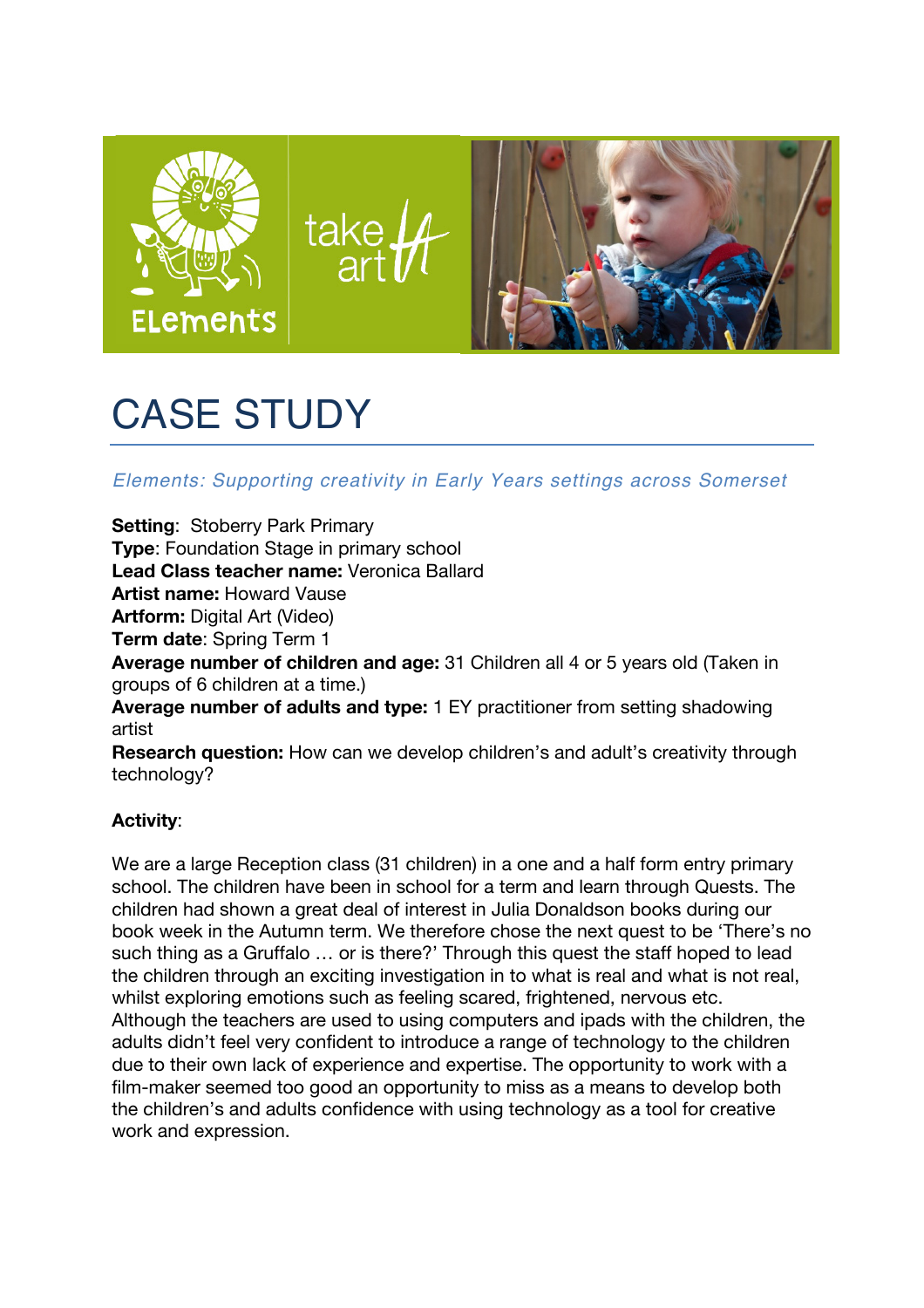

# CASE STUDY

**Elements: Supporting creativity in Early Years settings across Somerset** 

**Setting**: Stoberry Park Primary **A PROJECT FOR YOUR EARLY SETTING Type**: Foundation Stage in primary school **comes and evaluation Lead Class teacher name:** Veronica Ballard<br>**Care and Education (ECE) between October 2016 and the end of February 2016** and the end of February 2016 and the e **Artist name:** Howard Vause **Artform:** Digital Art (Video) **Term date**: Spring Term 1 **Average number of children and age:** 31 Children all 4 or 5 years old (Taken in arcups of 6 objection at a time) groups of 6 children at a time.) groups of signmularities and type: 1 EY practitioner from setting shadowing<br>**Average number of adults and type:** 1 EY practitioner from setting shadowing artist Research question: How can we develop children's and adult's creativity through technology? rich programme of with the children, including reflective practice and evaluation. The children, including reflective practice and evaluation. The children, including reflective practice and evaluation. The children of the

## **Activity:**

We are a large Reception class (31 children) in a one and a half form entry primary Free and a hanger reception blace (or children, in a chic and a half form only primary school. The children have been in school for a term and learn through Quests. The children had shown a great deal of interest in Julia Donaldson books during our book week in the Autumn term. We therefore chose the next quest to be 'There's no such thing as a Gruffalo … or is there?' Through this quest the staff hoped to lead the children through an exciting investigation in to what is real and what is not real, whilst exploring emotions such as feeling scared, frightened, nervous etc. Although the teachers are used to using computers and ipads with the children, the solution of your setting will only be a straightfully and with the children adults didn't feel very confident to introduce a range of technology to the children due to their own lack of experience and expertise. The opportunity to work with a film-maker seemed too good an opportunity to miss as a means to develop both the children's and adults confidence with using technology as a tool for creative work and expression. **Please fill in the attached expression** of interest and send back by 5pm, Thursday 30 June.  $\mathbf{S}$  sessions with an artist experience in the Early Years sector. The Early Years sector. The Early Years sector.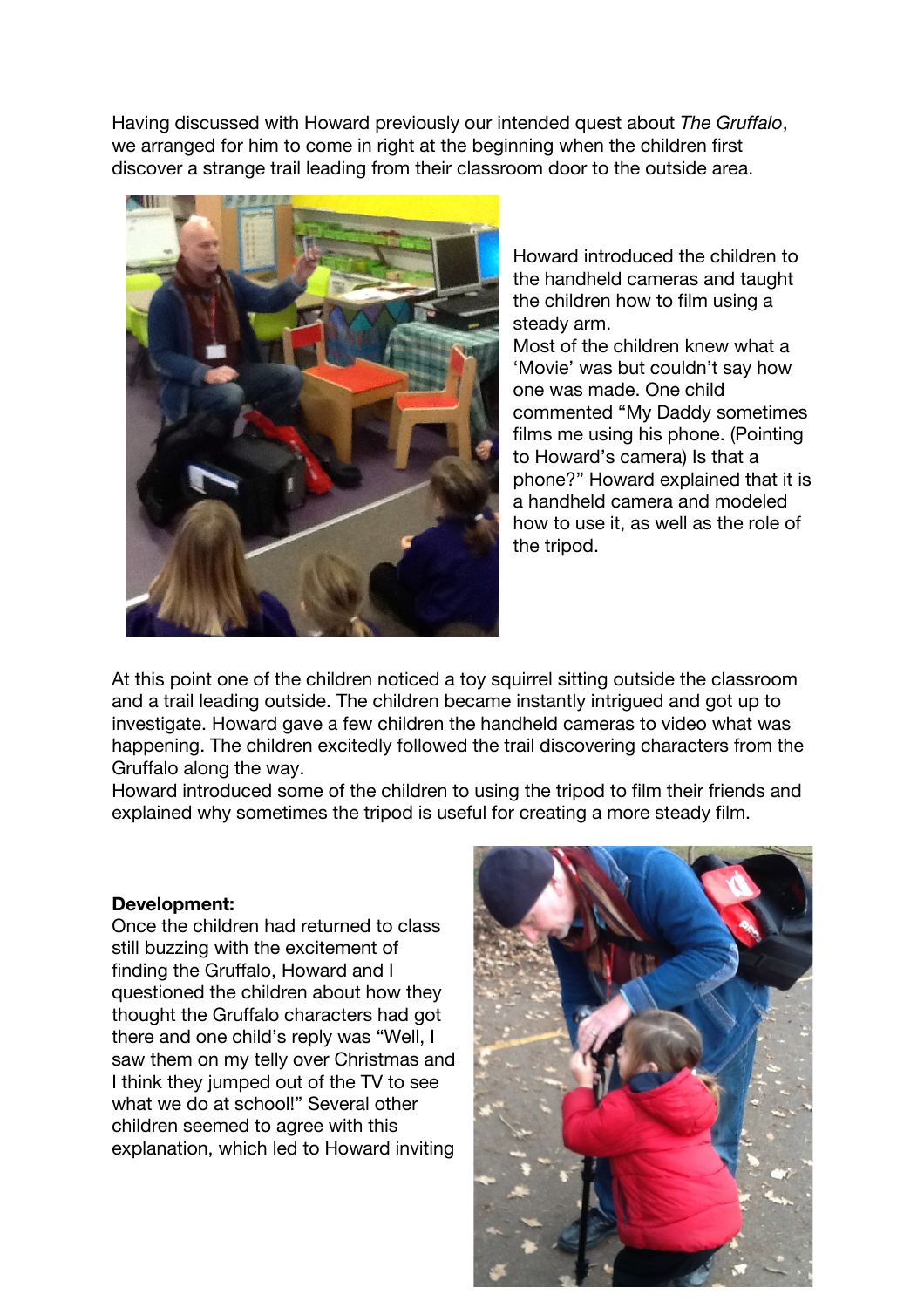Having discussed with Howard previously our intended quest about *The Gruffalo*, we arranged for him to come in right at the beginning when the children first discover a strange trail leading from their classroom door to the outside area.



Howard introduced the children to the handheld cameras and taught the children how to film using a steady arm.

Most of the children knew what a 'Movie' was but couldn't say how one was made. One child commented "My Daddy sometimes films me using his phone. (Pointing to Howard's camera) Is that a phone?" Howard explained that it is a handheld camera and modeled how to use it, as well as the role of the tripod.

At this point one of the children noticed a toy squirrel sitting outside the classroom and a trail leading outside. The children became instantly intrigued and got up to investigate. Howard gave a few children the handheld cameras to video what was happening. The children excitedly followed the trail discovering characters from the Gruffalo along the way.

Howard introduced some of the children to using the tripod to film their friends and explained why sometimes the tripod is useful for creating a more steady film.

#### **Development:**

Once the children had returned to class still buzzing with the excitement of finding the Gruffalo, Howard and I questioned the children about how they thought the Gruffalo characters had got there and one child's reply was "Well, I saw them on my telly over Christmas and I think they jumped out of the TV to see what we do at school!" Several other children seemed to agree with this explanation, which led to Howard inviting

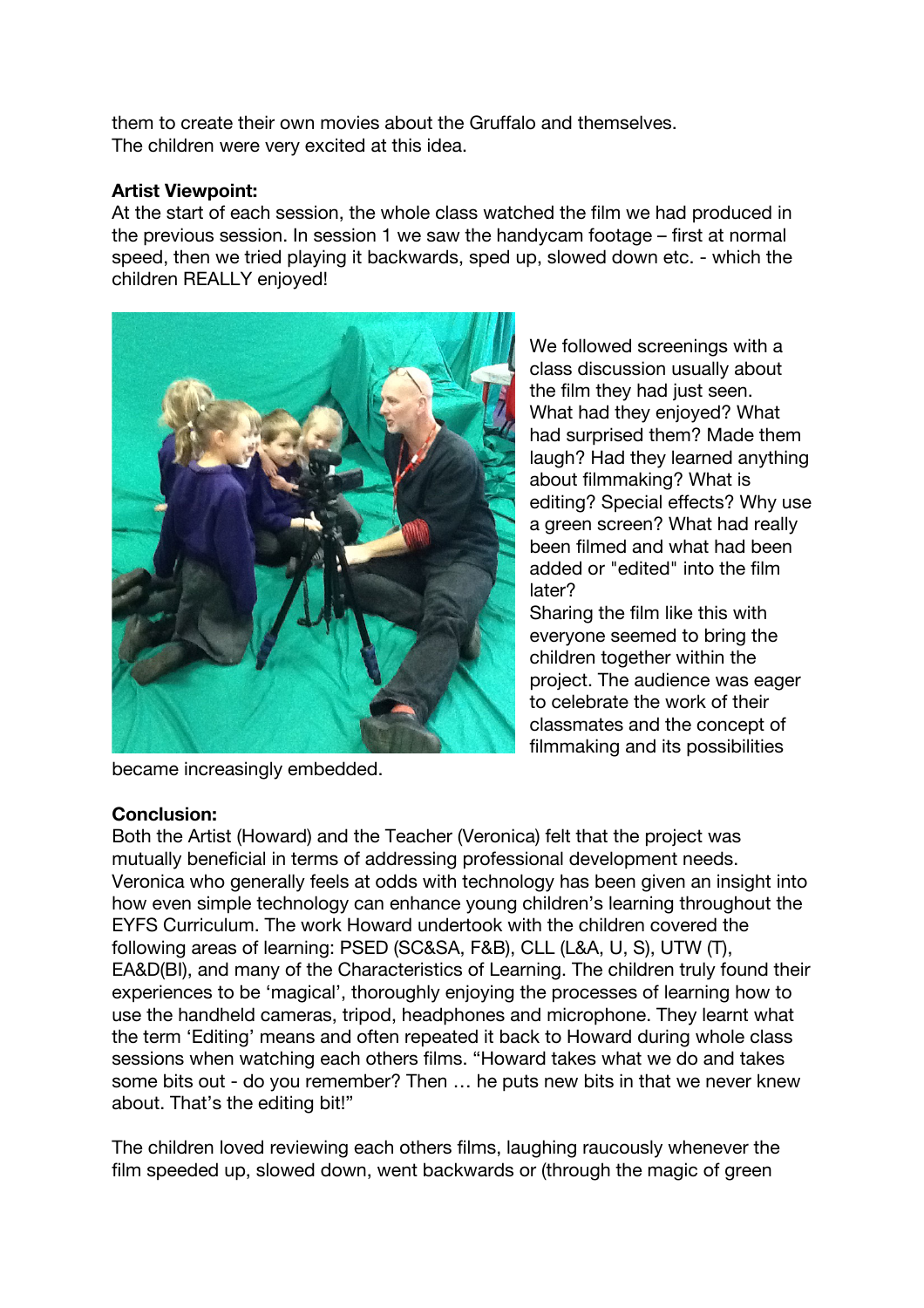them to create their own movies about the Gruffalo and themselves. The children were very excited at this idea.

#### **Artist Viewpoint:**

At the start of each session, the whole class watched the film we had produced in the previous session. In session 1 we saw the handycam footage – first at normal speed, then we tried playing it backwards, sped up, slowed down etc. - which the children REALLY enjoyed!



We followed screenings with a class discussion usually about the film they had just seen. What had they enjoyed? What had surprised them? Made them laugh? Had they learned anything about filmmaking? What is editing? Special effects? Why use a green screen? What had really been filmed and what had been added or "edited" into the film later?

Sharing the film like this with everyone seemed to bring the children together within the project. The audience was eager to celebrate the work of their classmates and the concept of filmmaking and its possibilities

became increasingly embedded.

#### **Conclusion:**

Both the Artist (Howard) and the Teacher (Veronica) felt that the project was mutually beneficial in terms of addressing professional development needs. Veronica who generally feels at odds with technology has been given an insight into how even simple technology can enhance young children's learning throughout the EYFS Curriculum. The work Howard undertook with the children covered the following areas of learning: PSED (SC&SA, F&B), CLL (L&A, U, S), UTW (T), EA&D(BI), and many of the Characteristics of Learning. The children truly found their experiences to be 'magical', thoroughly enjoying the processes of learning how to use the handheld cameras, tripod, headphones and microphone. They learnt what the term 'Editing' means and often repeated it back to Howard during whole class sessions when watching each others films. "Howard takes what we do and takes some bits out - do you remember? Then … he puts new bits in that we never knew about. That's the editing bit!"

The children loved reviewing each others films, laughing raucously whenever the film speeded up, slowed down, went backwards or (through the magic of green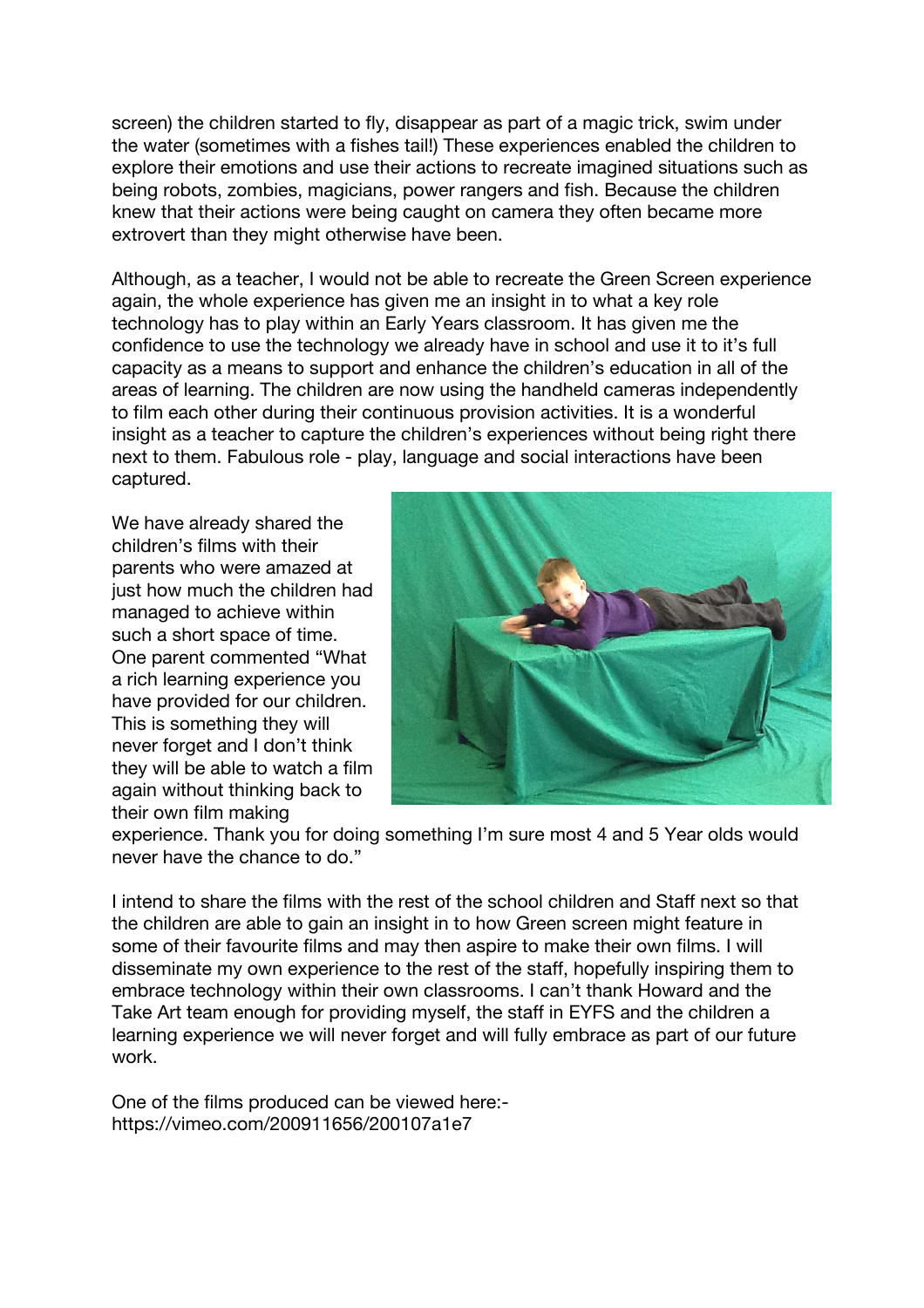screen) the children started to fly, disappear as part of a magic trick, swim under the water (sometimes with a fishes tail!) These experiences enabled the children to explore their emotions and use their actions to recreate imagined situations such as being robots, zombies, magicians, power rangers and fish. Because the children knew that their actions were being caught on camera they often became more extrovert than they might otherwise have been.

Although, as a teacher, I would not be able to recreate the Green Screen experience again, the whole experience has given me an insight in to what a key role technology has to play within an Early Years classroom. It has given me the confidence to use the technology we already have in school and use it to it's full capacity as a means to support and enhance the children's education in all of the areas of learning. The children are now using the handheld cameras independently to film each other during their continuous provision activities. It is a wonderful insight as a teacher to capture the children's experiences without being right there next to them. Fabulous role - play, language and social interactions have been captured.

We have already shared the children's films with their parents who were amazed at just how much the children had managed to achieve within such a short space of time. One parent commented "What a rich learning experience you have provided for our children. This is something they will never forget and I don't think they will be able to watch a film again without thinking back to their own film making



experience. Thank you for doing something I'm sure most 4 and 5 Year olds would never have the chance to do."

I intend to share the films with the rest of the school children and Staff next so that the children are able to gain an insight in to how Green screen might feature in some of their favourite films and may then aspire to make their own films. I will disseminate my own experience to the rest of the staff, hopefully inspiring them to embrace technology within their own classrooms. I can't thank Howard and the Take Art team enough for providing myself, the staff in EYFS and the children a learning experience we will never forget and will fully embrace as part of our future work.

One of the films produced can be viewed here: https://vimeo.com/200911656/200107a1e7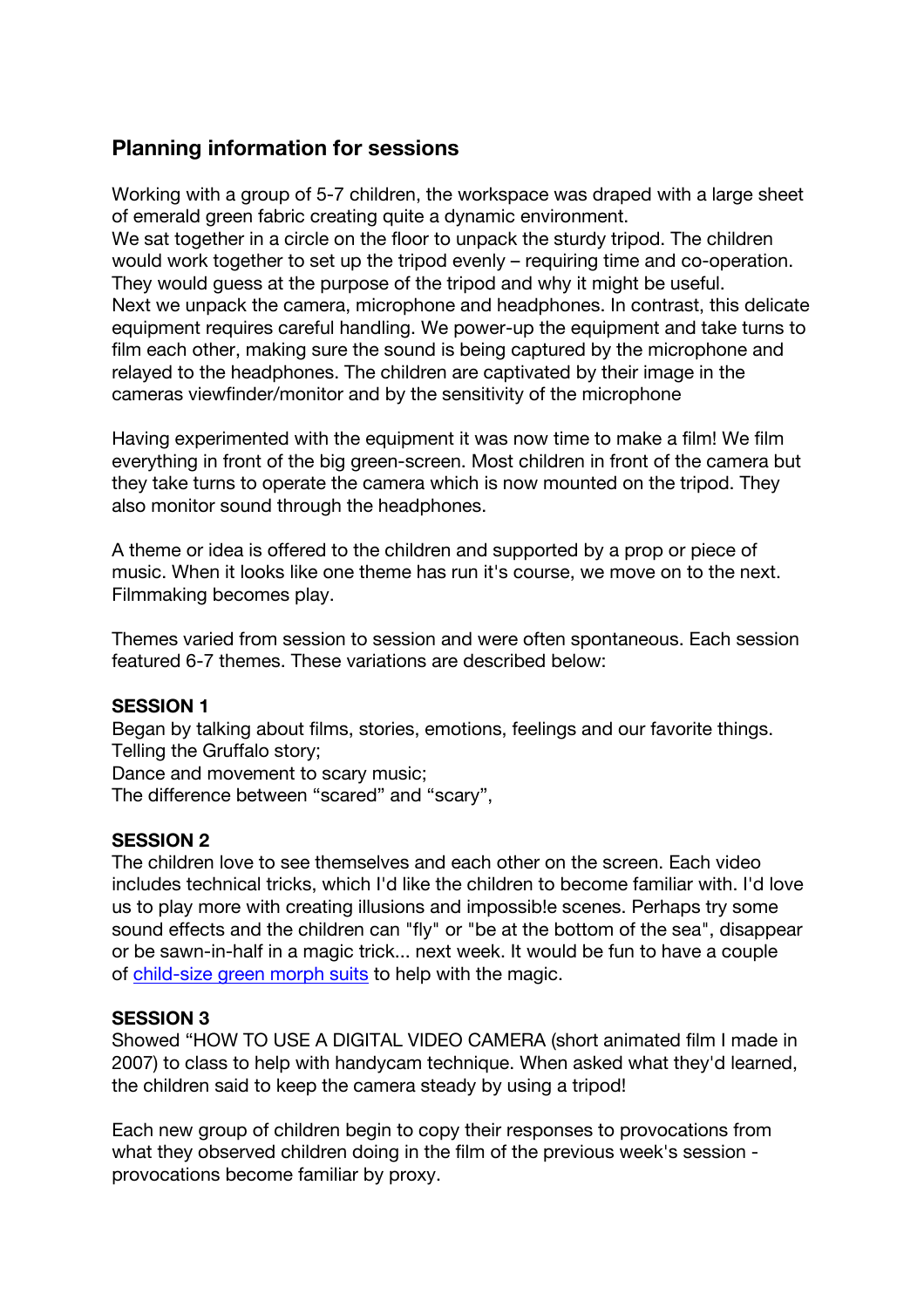### **Planning information for sessions**

Working with a group of 5-7 children, the workspace was draped with a large sheet of emerald green fabric creating quite a dynamic environment. We sat together in a circle on the floor to unpack the sturdy tripod. The children would work together to set up the tripod evenly – requiring time and co-operation. They would guess at the purpose of the tripod and why it might be useful. Next we unpack the camera, microphone and headphones. In contrast, this delicate equipment requires careful handling. We power-up the equipment and take turns to film each other, making sure the sound is being captured by the microphone and relayed to the headphones. The children are captivated by their image in the cameras viewfinder/monitor and by the sensitivity of the microphone

Having experimented with the equipment it was now time to make a film! We film everything in front of the big green-screen. Most children in front of the camera but they take turns to operate the camera which is now mounted on the tripod. They also monitor sound through the headphones.

A theme or idea is offered to the children and supported by a prop or piece of music. When it looks like one theme has run it's course, we move on to the next. Filmmaking becomes play.

Themes varied from session to session and were often spontaneous. Each session featured 6-7 themes. These variations are described below:

#### **SESSION 1**

Began by talking about films, stories, emotions, feelings and our favorite things. Telling the Gruffalo story;

Dance and movement to scary music;

The difference between "scared" and "scary",

#### **SESSION 2**

The children love to see themselves and each other on the screen. Each video includes technical tricks, which I'd like the children to become familiar with. I'd love us to play more with creating illusions and impossib!e scenes. Perhaps try some sound effects and the children can "fly" or "be at the bottom of the sea", disappear or be sawn-in-half in a magic trick... next week. It would be fun to have a couple of child-size green morph suits to help with the magic.

#### **SESSION 3**

Showed "HOW TO USE A DIGITAL VIDEO CAMERA (short animated film I made in 2007) to class to help with handycam technique. When asked what they'd learned, the children said to keep the camera steady by using a tripod!

Each new group of children begin to copy their responses to provocations from what they observed children doing in the film of the previous week's session provocations become familiar by proxy.